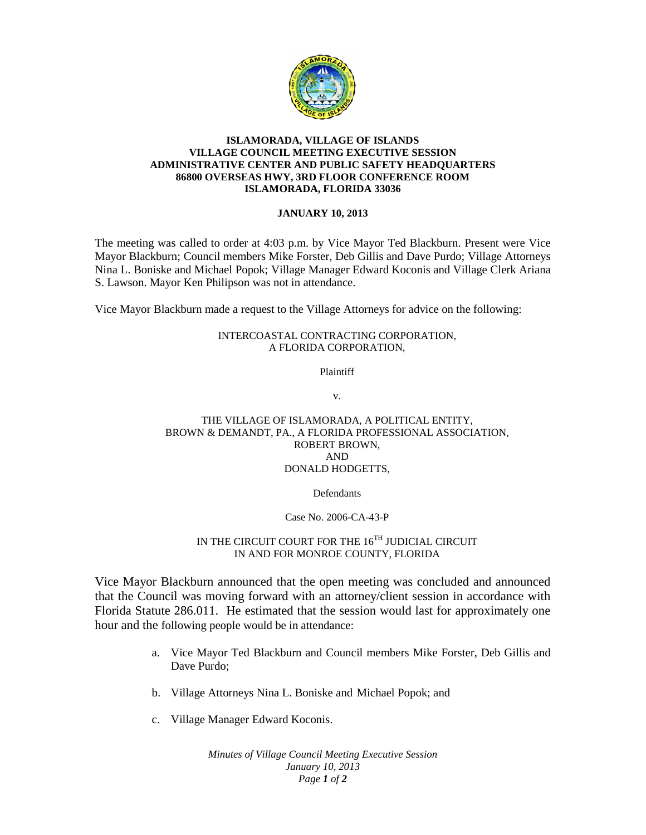

#### **ISLAMORADA, VILLAGE OF ISLANDS VILLAGE COUNCIL MEETING EXECUTIVE SESSION ADMINISTRATIVE CENTER AND PUBLIC SAFETY HEADQUARTERS 86800 OVERSEAS HWY, 3RD FLOOR CONFERENCE ROOM ISLAMORADA, FLORIDA 33036**

## **JANUARY 10, 2013**

The meeting was called to order at 4:03 p.m. by Vice Mayor Ted Blackburn. Present were Vice Mayor Blackburn; Council members Mike Forster, Deb Gillis and Dave Purdo; Village Attorneys Nina L. Boniske and Michael Popok; Village Manager Edward Koconis and Village Clerk Ariana S. Lawson. Mayor Ken Philipson was not in attendance.

Vice Mayor Blackburn made a request to the Village Attorneys for advice on the following:

## INTERCOASTAL CONTRACTING CORPORATION, A FLORIDA CORPORATION,

Plaintiff

v.

#### THE VILLAGE OF ISLAMORADA, A POLITICAL ENTITY, BROWN & DEMANDT, PA., A FLORIDA PROFESSIONAL ASSOCIATION, ROBERT BROWN, AND DONALD HODGETTS,

Defendants

## Case No. 2006-CA-43-P

# IN THE CIRCUIT COURT FOR THE 16<sup>TH</sup> JUDICIAL CIRCUIT IN AND FOR MONROE COUNTY, FLORIDA

Vice Mayor Blackburn announced that the open meeting was concluded and announced that the Council was moving forward with an attorney/client session in accordance with Florida Statute 286.011. He estimated that the session would last for approximately one hour and the following people would be in attendance:

- a. Vice Mayor Ted Blackburn and Council members Mike Forster, Deb Gillis and Dave Purdo;
- b. Village Attorneys Nina L. Boniske and Michael Popok; and
- c. Village Manager Edward Koconis.

*Minutes of Village Council Meeting Executive Session January 10, 2013 Page 1 of 2*